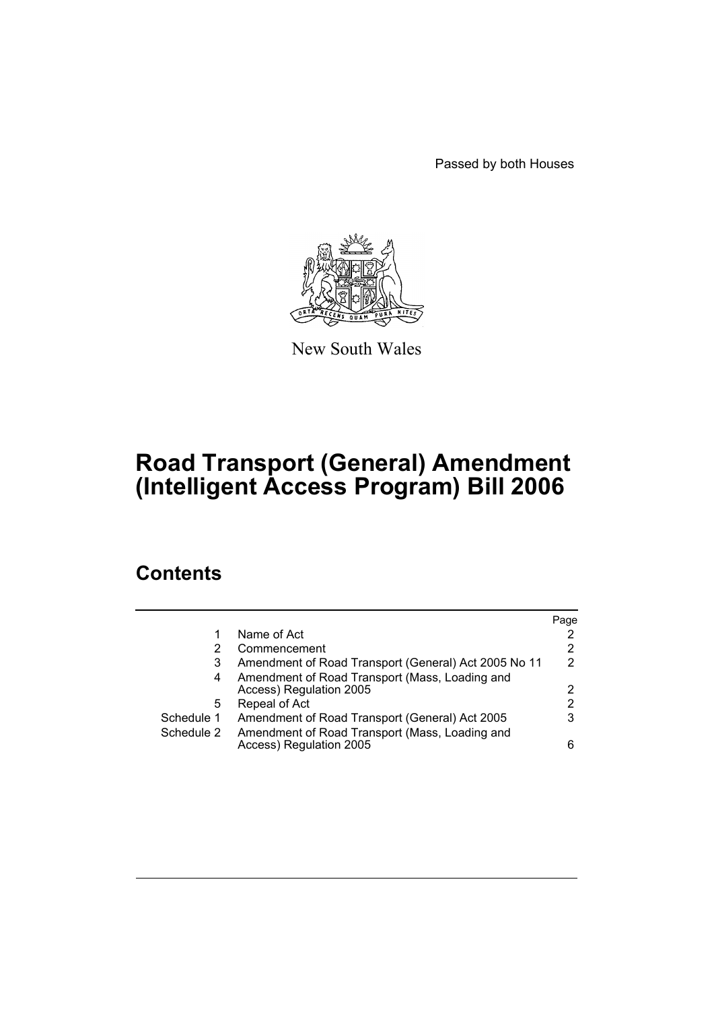Passed by both Houses



New South Wales

# **Road Transport (General) Amendment (Intelligent Access Program) Bill 2006**

# **Contents**

|            |                                                      | Page |
|------------|------------------------------------------------------|------|
| 1          | Name of Act                                          | 2    |
|            | Commencement                                         | 2    |
| 3          | Amendment of Road Transport (General) Act 2005 No 11 | 2    |
| 4          | Amendment of Road Transport (Mass, Loading and       |      |
|            | Access) Regulation 2005                              | 2    |
| 5          | Repeal of Act                                        | 2    |
| Schedule 1 | Amendment of Road Transport (General) Act 2005       | 3    |
| Schedule 2 | Amendment of Road Transport (Mass, Loading and       |      |
|            | Access) Regulation 2005                              | 6    |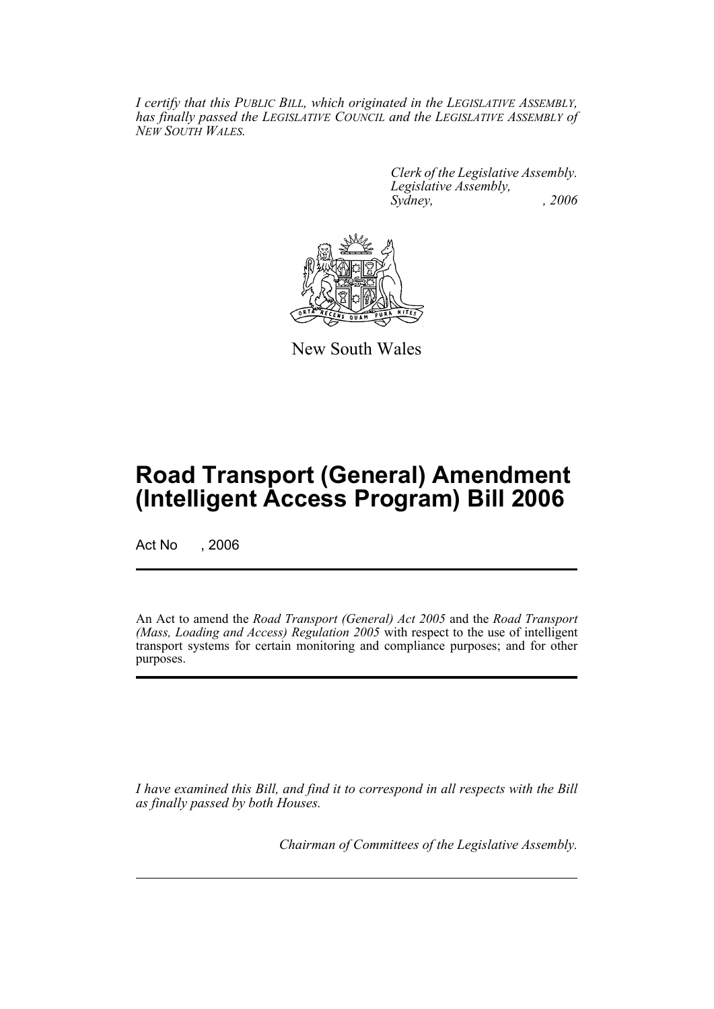*I certify that this PUBLIC BILL, which originated in the LEGISLATIVE ASSEMBLY, has finally passed the LEGISLATIVE COUNCIL and the LEGISLATIVE ASSEMBLY of NEW SOUTH WALES.*

> *Clerk of the Legislative Assembly. Legislative Assembly, Sydney, , 2006*



New South Wales

# **Road Transport (General) Amendment (Intelligent Access Program) Bill 2006**

Act No . 2006

An Act to amend the *Road Transport (General) Act 2005* and the *Road Transport (Mass, Loading and Access) Regulation 2005* with respect to the use of intelligent transport systems for certain monitoring and compliance purposes; and for other purposes.

*I have examined this Bill, and find it to correspond in all respects with the Bill as finally passed by both Houses.*

*Chairman of Committees of the Legislative Assembly.*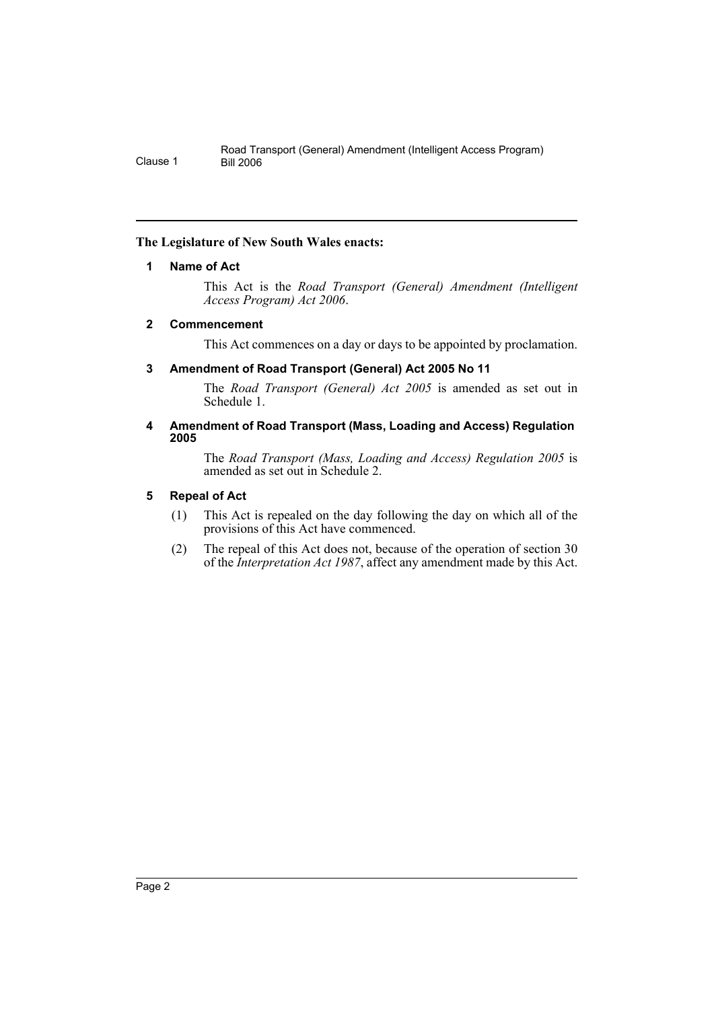# **The Legislature of New South Wales enacts:**

# **1 Name of Act**

This Act is the *Road Transport (General) Amendment (Intelligent Access Program) Act 2006*.

# **2 Commencement**

This Act commences on a day or days to be appointed by proclamation.

# **3 Amendment of Road Transport (General) Act 2005 No 11**

The *Road Transport (General) Act 2005* is amended as set out in Schedule 1.

#### **4 Amendment of Road Transport (Mass, Loading and Access) Regulation 2005**

The *Road Transport (Mass, Loading and Access) Regulation 2005* is amended as set out in Schedule 2.

# **5 Repeal of Act**

- (1) This Act is repealed on the day following the day on which all of the provisions of this Act have commenced.
- (2) The repeal of this Act does not, because of the operation of section 30 of the *Interpretation Act 1987*, affect any amendment made by this Act.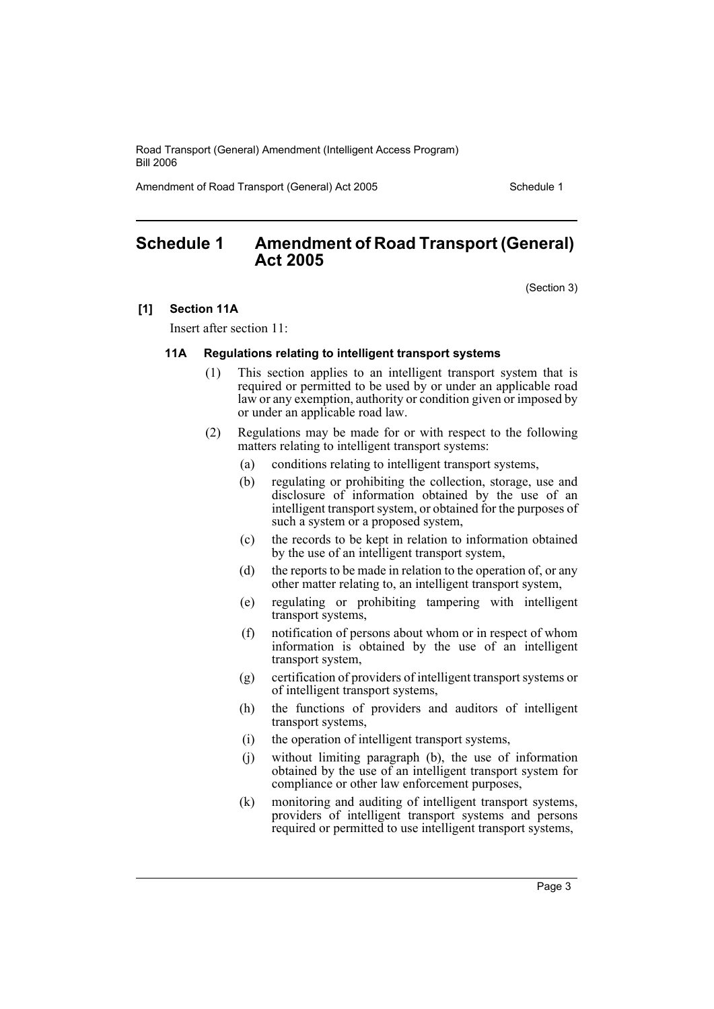Amendment of Road Transport (General) Act 2005 Schedule 1

# **Schedule 1 Amendment of Road Transport (General) Act 2005**

(Section 3)

#### **[1] Section 11A**

Insert after section 11:

#### **11A Regulations relating to intelligent transport systems**

- (1) This section applies to an intelligent transport system that is required or permitted to be used by or under an applicable road law or any exemption, authority or condition given or imposed by or under an applicable road law.
- (2) Regulations may be made for or with respect to the following matters relating to intelligent transport systems:
	- (a) conditions relating to intelligent transport systems,
	- (b) regulating or prohibiting the collection, storage, use and disclosure of information obtained by the use of an intelligent transport system, or obtained for the purposes of such a system or a proposed system,
	- (c) the records to be kept in relation to information obtained by the use of an intelligent transport system,
	- (d) the reports to be made in relation to the operation of, or any other matter relating to, an intelligent transport system,
	- (e) regulating or prohibiting tampering with intelligent transport systems,
	- (f) notification of persons about whom or in respect of whom information is obtained by the use of an intelligent transport system,
	- (g) certification of providers of intelligent transport systems or of intelligent transport systems,
	- (h) the functions of providers and auditors of intelligent transport systems,
	- (i) the operation of intelligent transport systems,
	- (j) without limiting paragraph (b), the use of information obtained by the use of an intelligent transport system for compliance or other law enforcement purposes,
	- (k) monitoring and auditing of intelligent transport systems, providers of intelligent transport systems and persons required or permitted to use intelligent transport systems,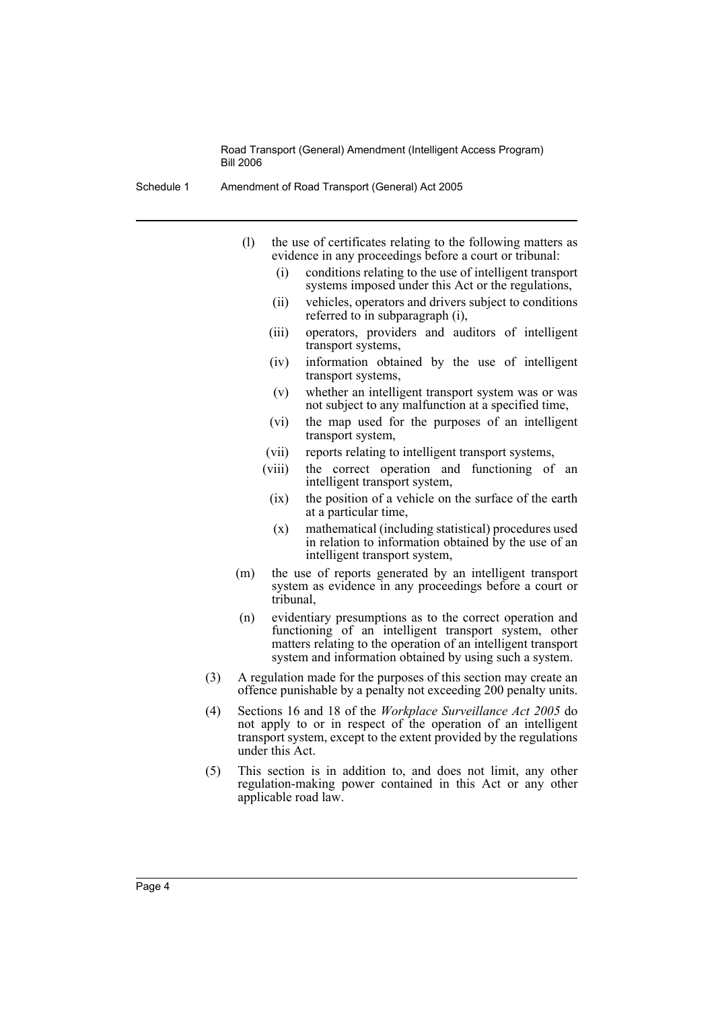- Schedule 1 Amendment of Road Transport (General) Act 2005
	- (l) the use of certificates relating to the following matters as evidence in any proceedings before a court or tribunal:
		- (i) conditions relating to the use of intelligent transport systems imposed under this Act or the regulations,
		- (ii) vehicles, operators and drivers subject to conditions referred to in subparagraph (i),
		- (iii) operators, providers and auditors of intelligent transport systems,
		- (iv) information obtained by the use of intelligent transport systems,
		- (v) whether an intelligent transport system was or was not subject to any malfunction at a specified time,
		- (vi) the map used for the purposes of an intelligent transport system,
		- (vii) reports relating to intelligent transport systems,
		- (viii) the correct operation and functioning of an intelligent transport system,
			- (ix) the position of a vehicle on the surface of the earth at a particular time,
			- (x) mathematical (including statistical) procedures used in relation to information obtained by the use of an intelligent transport system,
	- (m) the use of reports generated by an intelligent transport system as evidence in any proceedings before a court or tribunal,
	- (n) evidentiary presumptions as to the correct operation and functioning of an intelligent transport system, other matters relating to the operation of an intelligent transport system and information obtained by using such a system.
	- (3) A regulation made for the purposes of this section may create an offence punishable by a penalty not exceeding 200 penalty units.
	- (4) Sections 16 and 18 of the *Workplace Surveillance Act 2005* do not apply to or in respect of the operation of an intelligent transport system, except to the extent provided by the regulations under this Act.
	- (5) This section is in addition to, and does not limit, any other regulation-making power contained in this Act or any other applicable road law.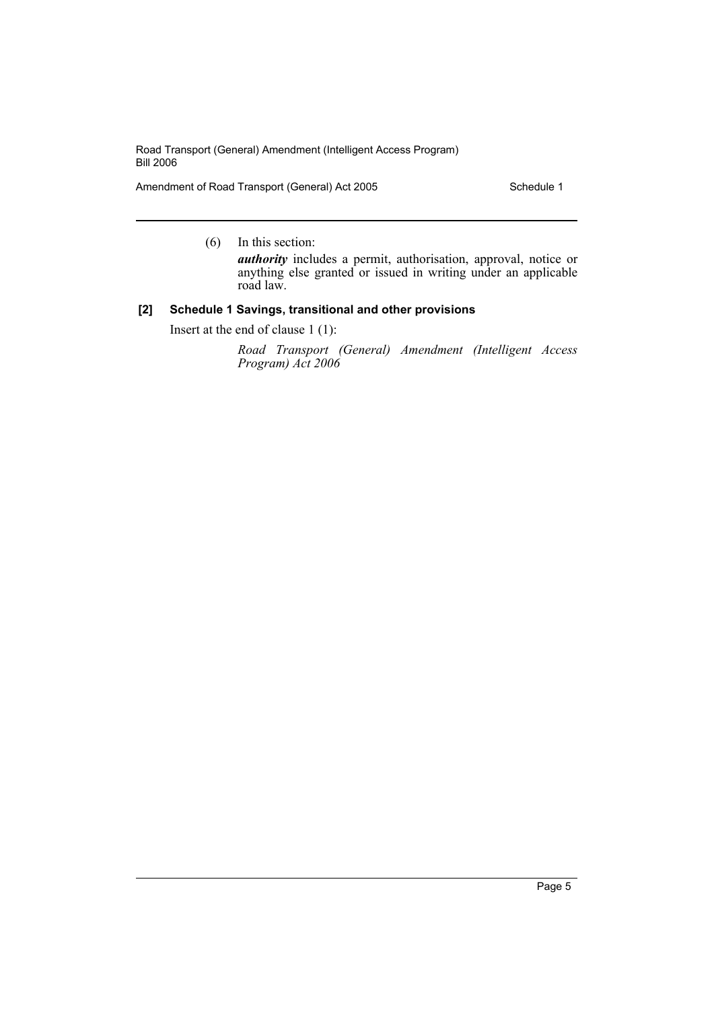Amendment of Road Transport (General) Act 2005 Schedule 1

(6) In this section:

*authority* includes a permit, authorisation, approval, notice or anything else granted or issued in writing under an applicable road law.

#### **[2] Schedule 1 Savings, transitional and other provisions**

Insert at the end of clause 1 (1):

*Road Transport (General) Amendment (Intelligent Access Program) Act 2006*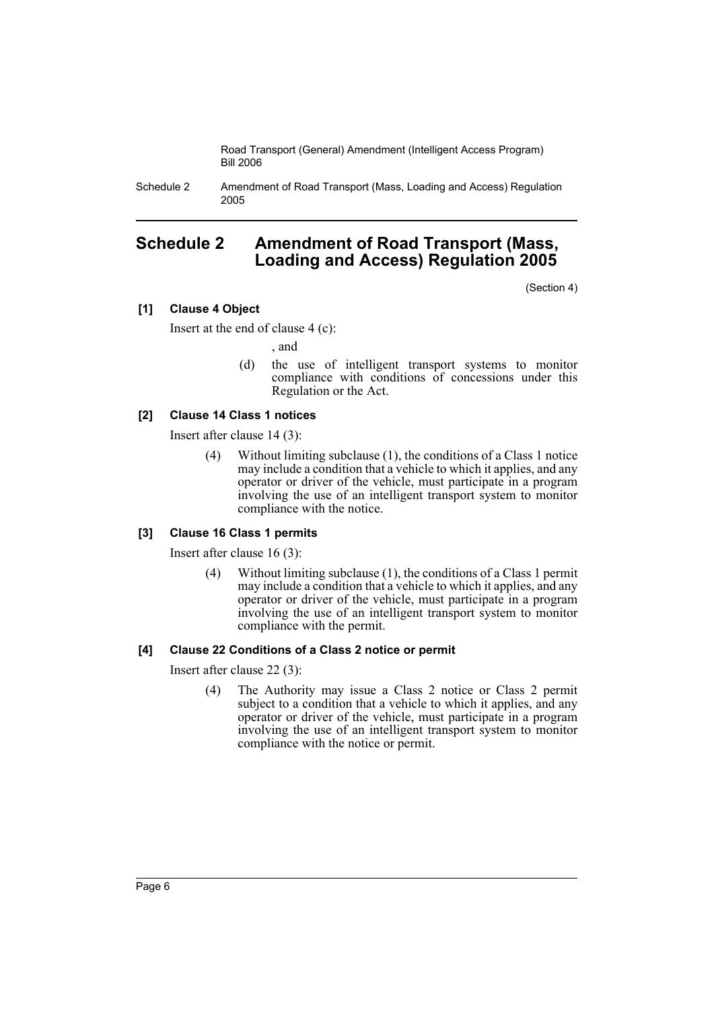Schedule 2 Amendment of Road Transport (Mass, Loading and Access) Regulation 2005

# **Schedule 2 Amendment of Road Transport (Mass, Loading and Access) Regulation 2005**

(Section 4)

# **[1] Clause 4 Object**

Insert at the end of clause 4 (c):

, and

(d) the use of intelligent transport systems to monitor compliance with conditions of concessions under this Regulation or the Act.

# **[2] Clause 14 Class 1 notices**

Insert after clause 14 (3):

(4) Without limiting subclause (1), the conditions of a Class 1 notice may include a condition that a vehicle to which it applies, and any operator or driver of the vehicle, must participate in a program involving the use of an intelligent transport system to monitor compliance with the notice.

# **[3] Clause 16 Class 1 permits**

Insert after clause 16 (3):

(4) Without limiting subclause (1), the conditions of a Class 1 permit may include a condition that a vehicle to which it applies, and any operator or driver of the vehicle, must participate in a program involving the use of an intelligent transport system to monitor compliance with the permit.

# **[4] Clause 22 Conditions of a Class 2 notice or permit**

Insert after clause 22 (3):

(4) The Authority may issue a Class 2 notice or Class 2 permit subject to a condition that a vehicle to which it applies, and any operator or driver of the vehicle, must participate in a program involving the use of an intelligent transport system to monitor compliance with the notice or permit.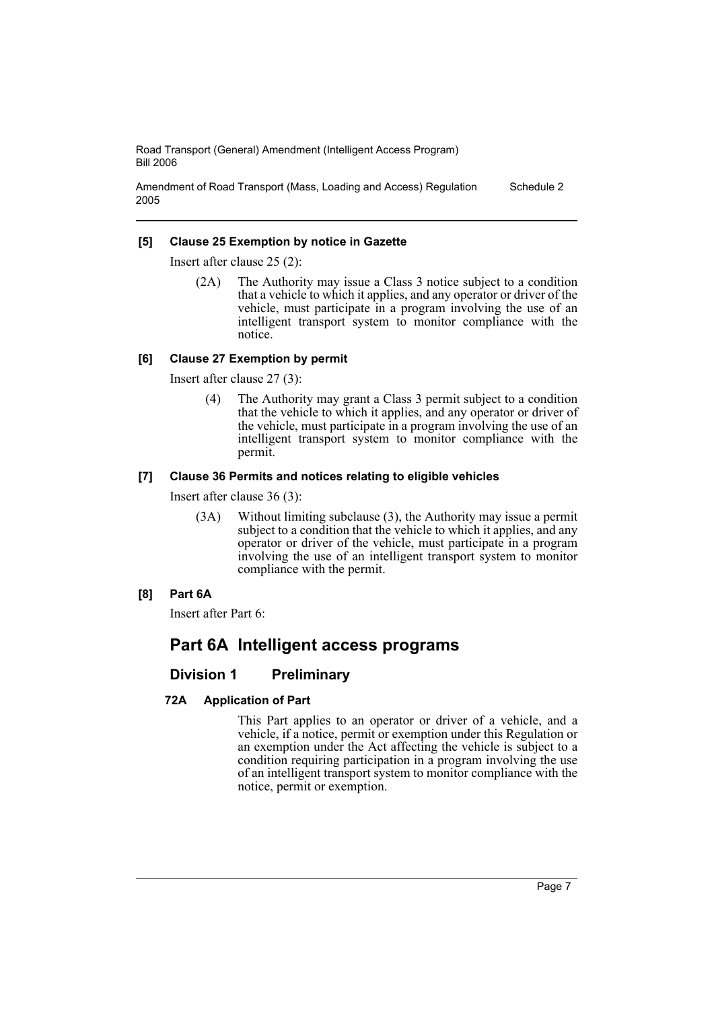Amendment of Road Transport (Mass, Loading and Access) Regulation 2005 Schedule 2

#### **[5] Clause 25 Exemption by notice in Gazette**

Insert after clause 25 (2):

(2A) The Authority may issue a Class 3 notice subject to a condition that a vehicle to which it applies, and any operator or driver of the vehicle, must participate in a program involving the use of an intelligent transport system to monitor compliance with the notice.

#### **[6] Clause 27 Exemption by permit**

Insert after clause 27 (3):

(4) The Authority may grant a Class 3 permit subject to a condition that the vehicle to which it applies, and any operator or driver of the vehicle, must participate in a program involving the use of an intelligent transport system to monitor compliance with the permit.

#### **[7] Clause 36 Permits and notices relating to eligible vehicles**

Insert after clause 36 (3):

- (3A) Without limiting subclause (3), the Authority may issue a permit subject to a condition that the vehicle to which it applies, and any operator or driver of the vehicle, must participate in a program involving the use of an intelligent transport system to monitor compliance with the permit.
- **[8] Part 6A**

Insert after Part 6:

# **Part 6A Intelligent access programs**

# **Division 1 Preliminary**

#### **72A Application of Part**

This Part applies to an operator or driver of a vehicle, and a vehicle, if a notice, permit or exemption under this Regulation or an exemption under the Act affecting the vehicle is subject to a condition requiring participation in a program involving the use of an intelligent transport system to monitor compliance with the notice, permit or exemption.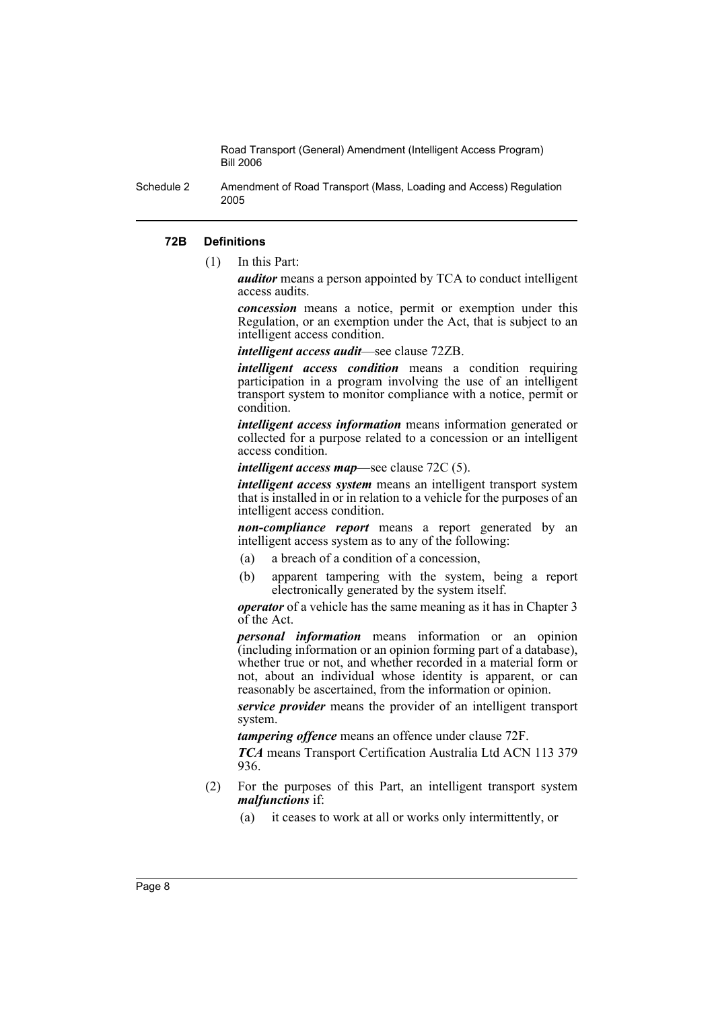Schedule 2 Amendment of Road Transport (Mass, Loading and Access) Regulation 2005

#### **72B Definitions**

(1) In this Part:

*auditor* means a person appointed by TCA to conduct intelligent access audits.

*concession* means a notice, permit or exemption under this Regulation, or an exemption under the Act, that is subject to an intelligent access condition.

*intelligent access audit*—see clause 72ZB.

*intelligent access condition* means a condition requiring participation in a program involving the use of an intelligent transport system to monitor compliance with a notice, permit or condition.

*intelligent access information* means information generated or collected for a purpose related to a concession or an intelligent access condition.

*intelligent access map*—see clause 72C (5).

*intelligent access system* means an intelligent transport system that is installed in or in relation to a vehicle for the purposes of an intelligent access condition.

*non-compliance report* means a report generated by an intelligent access system as to any of the following:

- (a) a breach of a condition of a concession,
- (b) apparent tampering with the system, being a report electronically generated by the system itself.

*operator* of a vehicle has the same meaning as it has in Chapter 3 of the Act.

*personal information* means information or an opinion (including information or an opinion forming part of a database), whether true or not, and whether recorded in a material form or not, about an individual whose identity is apparent, or can reasonably be ascertained, from the information or opinion.

*service provider* means the provider of an intelligent transport system.

*tampering offence* means an offence under clause 72F.

*TCA* means Transport Certification Australia Ltd ACN 113 379 936.

- (2) For the purposes of this Part, an intelligent transport system *malfunctions* if:
	- (a) it ceases to work at all or works only intermittently, or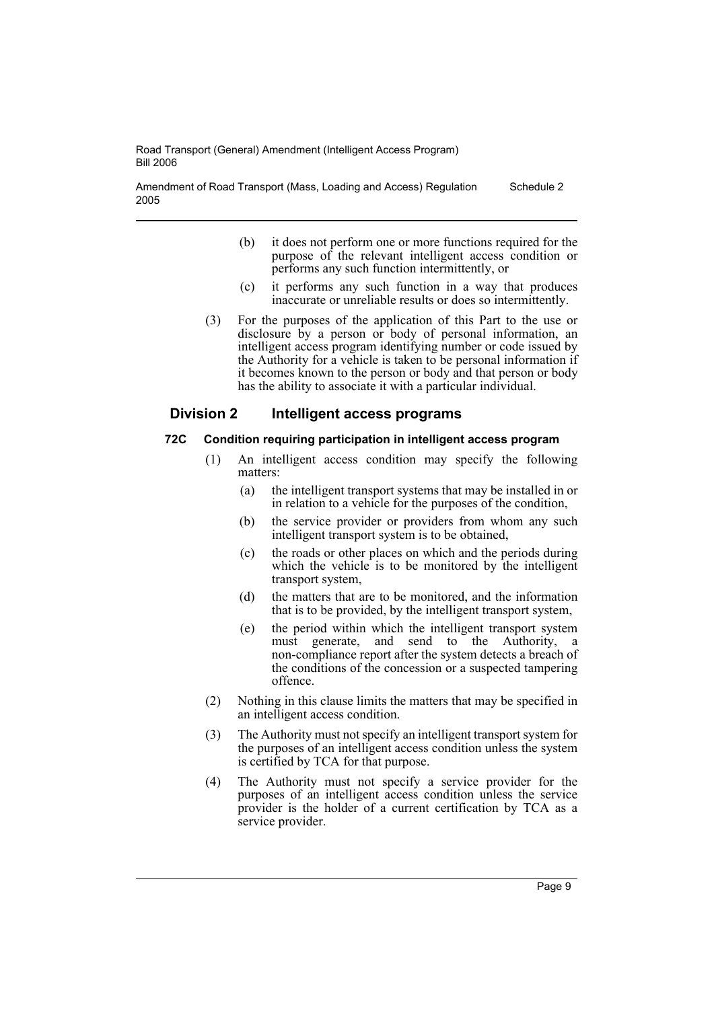Amendment of Road Transport (Mass, Loading and Access) Regulation 2005 Schedule 2

- (b) it does not perform one or more functions required for the purpose of the relevant intelligent access condition or performs any such function intermittently, or
- (c) it performs any such function in a way that produces inaccurate or unreliable results or does so intermittently.
- (3) For the purposes of the application of this Part to the use or disclosure by a person or body of personal information, an intelligent access program identifying number or code issued by the Authority for a vehicle is taken to be personal information if it becomes known to the person or body and that person or body has the ability to associate it with a particular individual.

# **Division 2 Intelligent access programs**

#### **72C Condition requiring participation in intelligent access program**

- (1) An intelligent access condition may specify the following matters:
	- (a) the intelligent transport systems that may be installed in or in relation to a vehicle for the purposes of the condition,
	- (b) the service provider or providers from whom any such intelligent transport system is to be obtained,
	- (c) the roads or other places on which and the periods during which the vehicle is to be monitored by the intelligent transport system,
	- (d) the matters that are to be monitored, and the information that is to be provided, by the intelligent transport system,
	- (e) the period within which the intelligent transport system must generate, and send to the Authority, a non-compliance report after the system detects a breach of the conditions of the concession or a suspected tampering offence.
- (2) Nothing in this clause limits the matters that may be specified in an intelligent access condition.
- (3) The Authority must not specify an intelligent transport system for the purposes of an intelligent access condition unless the system is certified by TCA for that purpose.
- (4) The Authority must not specify a service provider for the purposes of an intelligent access condition unless the service provider is the holder of a current certification by TCA as a service provider.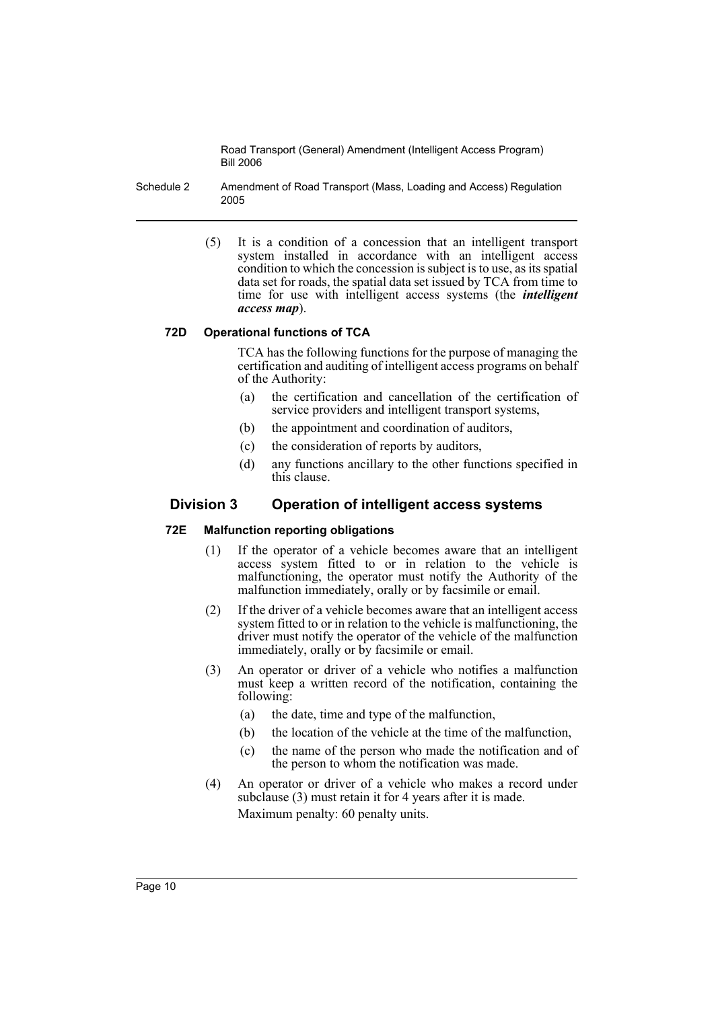Schedule 2 Amendment of Road Transport (Mass, Loading and Access) Regulation 2005

> (5) It is a condition of a concession that an intelligent transport system installed in accordance with an intelligent access condition to which the concession is subject is to use, as its spatial data set for roads, the spatial data set issued by TCA from time to time for use with intelligent access systems (the *intelligent access map*).

# **72D Operational functions of TCA**

TCA has the following functions for the purpose of managing the certification and auditing of intelligent access programs on behalf of the Authority:

- (a) the certification and cancellation of the certification of service providers and intelligent transport systems,
- (b) the appointment and coordination of auditors,
- (c) the consideration of reports by auditors,
- (d) any functions ancillary to the other functions specified in this clause.

# **Division 3 Operation of intelligent access systems**

# **72E Malfunction reporting obligations**

- (1) If the operator of a vehicle becomes aware that an intelligent access system fitted to or in relation to the vehicle is malfunctioning, the operator must notify the Authority of the malfunction immediately, orally or by facsimile or email.
- (2) If the driver of a vehicle becomes aware that an intelligent access system fitted to or in relation to the vehicle is malfunctioning, the driver must notify the operator of the vehicle of the malfunction immediately, orally or by facsimile or email.
- (3) An operator or driver of a vehicle who notifies a malfunction must keep a written record of the notification, containing the following:
	- (a) the date, time and type of the malfunction,
	- (b) the location of the vehicle at the time of the malfunction,
	- (c) the name of the person who made the notification and of the person to whom the notification was made.
- (4) An operator or driver of a vehicle who makes a record under subclause (3) must retain it for 4 years after it is made. Maximum penalty: 60 penalty units.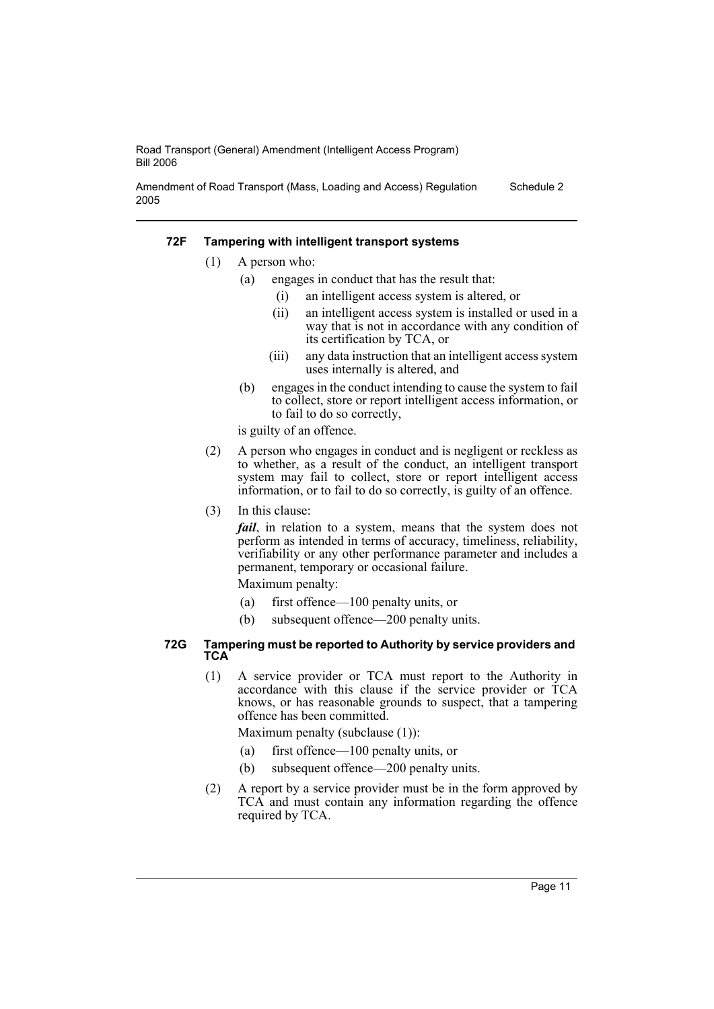Amendment of Road Transport (Mass, Loading and Access) Regulation 2005 Schedule 2

#### **72F Tampering with intelligent transport systems**

- (1) A person who:
	- (a) engages in conduct that has the result that:
		- (i) an intelligent access system is altered, or
		- (ii) an intelligent access system is installed or used in a way that is not in accordance with any condition of its certification by TCA, or
		- (iii) any data instruction that an intelligent access system uses internally is altered, and
	- (b) engages in the conduct intending to cause the system to fail to collect, store or report intelligent access information, or to fail to do so correctly,

is guilty of an offence.

- (2) A person who engages in conduct and is negligent or reckless as to whether, as a result of the conduct, an intelligent transport system may fail to collect, store or report intelligent access information, or to fail to do so correctly, is guilty of an offence.
- (3) In this clause:

*fail*, in relation to a system, means that the system does not perform as intended in terms of accuracy, timeliness, reliability, verifiability or any other performance parameter and includes a permanent, temporary or occasional failure.

Maximum penalty:

- (a) first offence—100 penalty units, or
- (b) subsequent offence—200 penalty units.

#### **72G Tampering must be reported to Authority by service providers and TCA**

(1) A service provider or TCA must report to the Authority in accordance with this clause if the service provider or TCA knows, or has reasonable grounds to suspect, that a tampering offence has been committed.

Maximum penalty (subclause (1)):

- (a) first offence—100 penalty units, or
- (b) subsequent offence—200 penalty units.
- (2) A report by a service provider must be in the form approved by TCA and must contain any information regarding the offence required by TCA.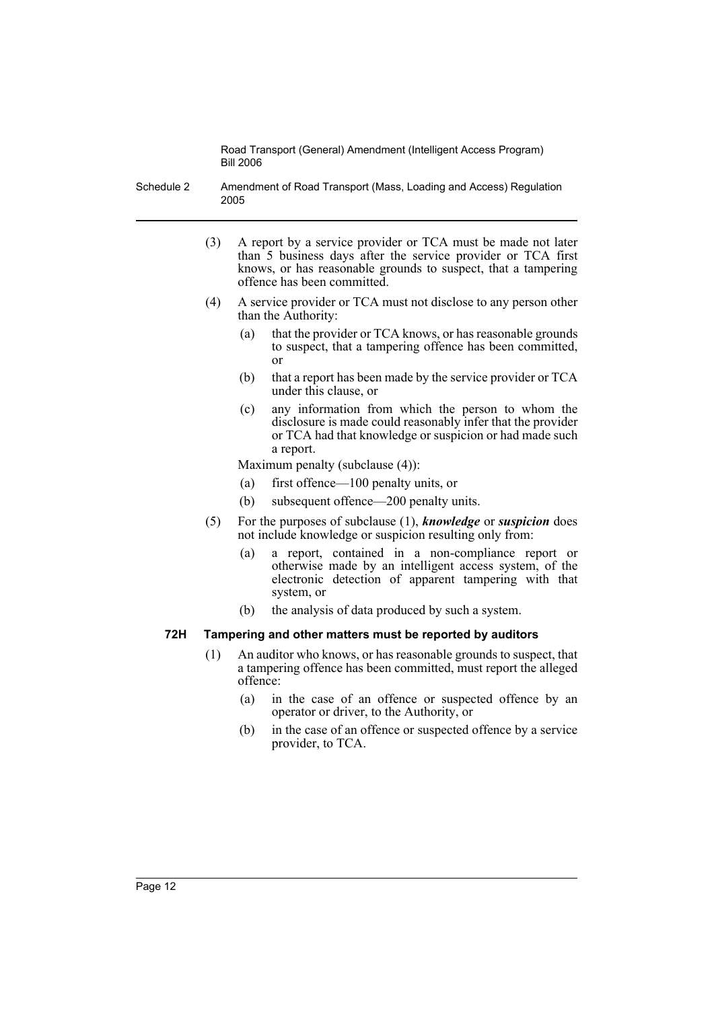Schedule 2 Amendment of Road Transport (Mass, Loading and Access) Regulation 2005

- (3) A report by a service provider or TCA must be made not later than 5 business days after the service provider or TCA first knows, or has reasonable grounds to suspect, that a tampering offence has been committed.
- (4) A service provider or TCA must not disclose to any person other than the Authority:
	- (a) that the provider or TCA knows, or has reasonable grounds to suspect, that a tampering offence has been committed, or
	- (b) that a report has been made by the service provider or TCA under this clause, or
	- (c) any information from which the person to whom the disclosure is made could reasonably infer that the provider or TCA had that knowledge or suspicion or had made such a report.

Maximum penalty (subclause (4)):

- (a) first offence—100 penalty units, or
- (b) subsequent offence—200 penalty units.
- (5) For the purposes of subclause (1), *knowledge* or *suspicion* does not include knowledge or suspicion resulting only from:
	- (a) a report, contained in a non-compliance report or otherwise made by an intelligent access system, of the electronic detection of apparent tampering with that system, or
	- (b) the analysis of data produced by such a system.

# **72H Tampering and other matters must be reported by auditors**

- (1) An auditor who knows, or has reasonable grounds to suspect, that a tampering offence has been committed, must report the alleged offence:
	- (a) in the case of an offence or suspected offence by an operator or driver, to the Authority, or
	- (b) in the case of an offence or suspected offence by a service provider, to TCA.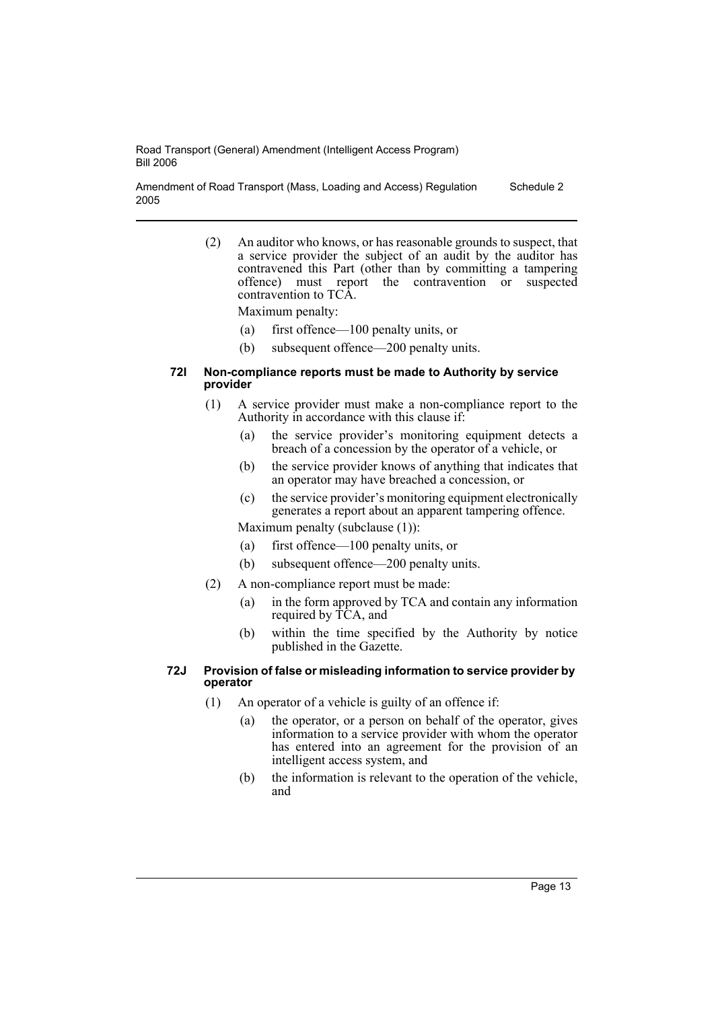Amendment of Road Transport (Mass, Loading and Access) Regulation 2005 Schedule 2

> (2) An auditor who knows, or has reasonable grounds to suspect, that a service provider the subject of an audit by the auditor has contravened this Part (other than by committing a tampering offence) must report the contravention or suspected contravention to TCA.

Maximum penalty:

- (a) first offence—100 penalty units, or
- (b) subsequent offence—200 penalty units.

#### **72I Non-compliance reports must be made to Authority by service provider**

- (1) A service provider must make a non-compliance report to the Authority in accordance with this clause if:
	- (a) the service provider's monitoring equipment detects a breach of a concession by the operator of a vehicle, or
	- (b) the service provider knows of anything that indicates that an operator may have breached a concession, or
	- (c) the service provider's monitoring equipment electronically generates a report about an apparent tampering offence.

Maximum penalty (subclause (1)):

- (a) first offence—100 penalty units, or
- (b) subsequent offence—200 penalty units.
- (2) A non-compliance report must be made:
	- (a) in the form approved by TCA and contain any information required by TCA, and
	- (b) within the time specified by the Authority by notice published in the Gazette.

#### **72J Provision of false or misleading information to service provider by operator**

- (1) An operator of a vehicle is guilty of an offence if:
	- (a) the operator, or a person on behalf of the operator, gives information to a service provider with whom the operator has entered into an agreement for the provision of an intelligent access system, and
	- (b) the information is relevant to the operation of the vehicle, and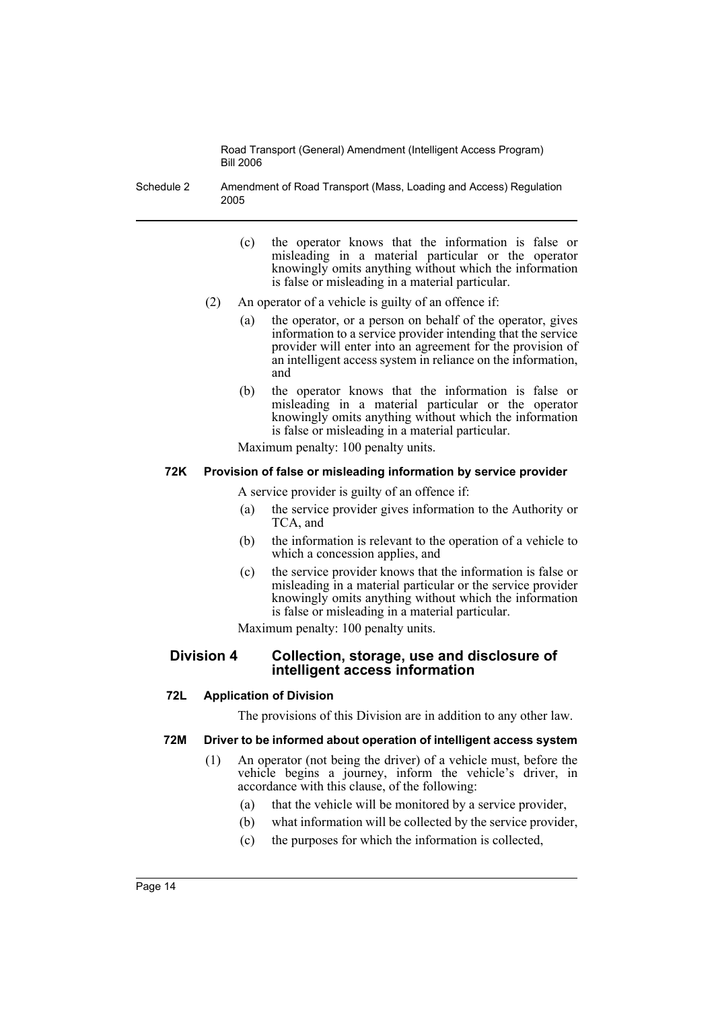Schedule 2 Amendment of Road Transport (Mass, Loading and Access) Regulation 2005

- (c) the operator knows that the information is false or misleading in a material particular or the operator knowingly omits anything without which the information is false or misleading in a material particular.
- (2) An operator of a vehicle is guilty of an offence if:
	- (a) the operator, or a person on behalf of the operator, gives information to a service provider intending that the service provider will enter into an agreement for the provision of an intelligent access system in reliance on the information, and
	- (b) the operator knows that the information is false or misleading in a material particular or the operator knowingly omits anything without which the information is false or misleading in a material particular.

Maximum penalty: 100 penalty units.

# **72K Provision of false or misleading information by service provider**

A service provider is guilty of an offence if:

- (a) the service provider gives information to the Authority or TCA, and
- (b) the information is relevant to the operation of a vehicle to which a concession applies, and
- (c) the service provider knows that the information is false or misleading in a material particular or the service provider knowingly omits anything without which the information is false or misleading in a material particular.

Maximum penalty: 100 penalty units.

# **Division 4 Collection, storage, use and disclosure of intelligent access information**

# **72L Application of Division**

The provisions of this Division are in addition to any other law.

# **72M Driver to be informed about operation of intelligent access system**

- (1) An operator (not being the driver) of a vehicle must, before the vehicle begins a journey, inform the vehicle's driver, in accordance with this clause, of the following:
	- (a) that the vehicle will be monitored by a service provider,
	- (b) what information will be collected by the service provider,
	- (c) the purposes for which the information is collected,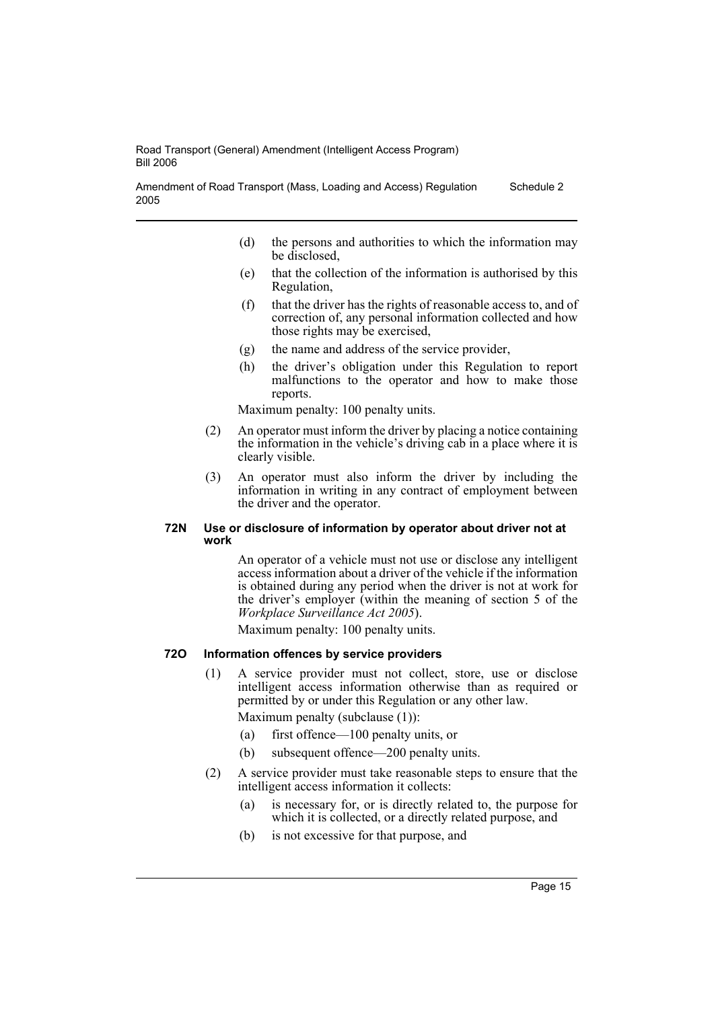Amendment of Road Transport (Mass, Loading and Access) Regulation 2005 Schedule 2

- (d) the persons and authorities to which the information may be disclosed,
- (e) that the collection of the information is authorised by this Regulation,
- (f) that the driver has the rights of reasonable access to, and of correction of, any personal information collected and how those rights may be exercised,
- (g) the name and address of the service provider,
- (h) the driver's obligation under this Regulation to report malfunctions to the operator and how to make those reports.

Maximum penalty: 100 penalty units.

- (2) An operator must inform the driver by placing a notice containing the information in the vehicle's driving cab in a place where it is clearly visible.
- (3) An operator must also inform the driver by including the information in writing in any contract of employment between the driver and the operator.

#### **72N Use or disclosure of information by operator about driver not at work**

An operator of a vehicle must not use or disclose any intelligent access information about a driver of the vehicle if the information is obtained during any period when the driver is not at work for the driver's employer (within the meaning of section 5 of the *Workplace Surveillance Act 2005*).

Maximum penalty: 100 penalty units.

#### **72O Information offences by service providers**

(1) A service provider must not collect, store, use or disclose intelligent access information otherwise than as required or permitted by or under this Regulation or any other law.

Maximum penalty (subclause (1)):

- (a) first offence—100 penalty units, or
- (b) subsequent offence—200 penalty units.
- (2) A service provider must take reasonable steps to ensure that the intelligent access information it collects:
	- (a) is necessary for, or is directly related to, the purpose for which it is collected, or a directly related purpose, and
	- (b) is not excessive for that purpose, and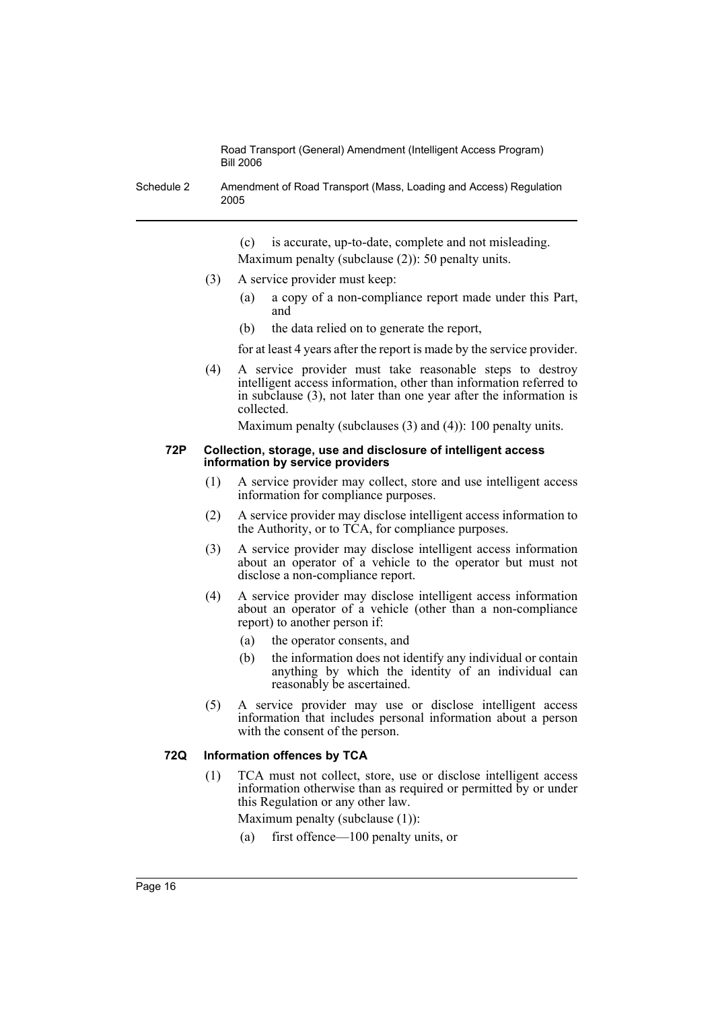Schedule 2 Amendment of Road Transport (Mass, Loading and Access) Regulation 2005

> (c) is accurate, up-to-date, complete and not misleading. Maximum penalty (subclause (2)): 50 penalty units.

- (3) A service provider must keep:
	- (a) a copy of a non-compliance report made under this Part, and
	- (b) the data relied on to generate the report,

for at least 4 years after the report is made by the service provider.

(4) A service provider must take reasonable steps to destroy intelligent access information, other than information referred to in subclause (3), not later than one year after the information is collected.

Maximum penalty (subclauses (3) and (4)): 100 penalty units.

#### **72P Collection, storage, use and disclosure of intelligent access information by service providers**

- (1) A service provider may collect, store and use intelligent access information for compliance purposes.
- (2) A service provider may disclose intelligent access information to the Authority, or to TCA, for compliance purposes.
- (3) A service provider may disclose intelligent access information about an operator of a vehicle to the operator but must not disclose a non-compliance report.
- (4) A service provider may disclose intelligent access information about an operator of a vehicle (other than a non-compliance report) to another person if:
	- (a) the operator consents, and
	- (b) the information does not identify any individual or contain anything by which the identity of an individual can reasonably be ascertained.
- (5) A service provider may use or disclose intelligent access information that includes personal information about a person with the consent of the person.

# **72Q Information offences by TCA**

(1) TCA must not collect, store, use or disclose intelligent access information otherwise than as required or permitted by or under this Regulation or any other law.

Maximum penalty (subclause (1)):

(a) first offence—100 penalty units, or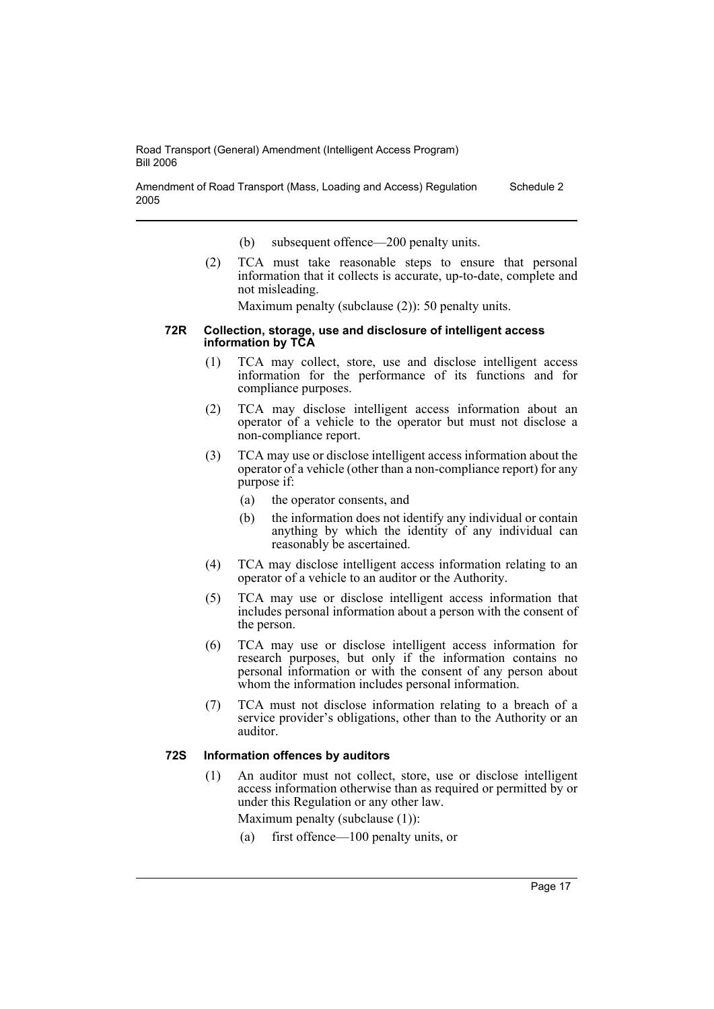Amendment of Road Transport (Mass, Loading and Access) Regulation 2005 Schedule 2

- (b) subsequent offence—200 penalty units.
- (2) TCA must take reasonable steps to ensure that personal information that it collects is accurate, up-to-date, complete and not misleading.

Maximum penalty (subclause (2)): 50 penalty units.

#### **72R Collection, storage, use and disclosure of intelligent access information by TCA**

- (1) TCA may collect, store, use and disclose intelligent access information for the performance of its functions and for compliance purposes.
- (2) TCA may disclose intelligent access information about an operator of a vehicle to the operator but must not disclose a non-compliance report.
- (3) TCA may use or disclose intelligent access information about the operator of a vehicle (other than a non-compliance report) for any purpose if:
	- (a) the operator consents, and
	- (b) the information does not identify any individual or contain anything by which the identity of any individual can reasonably be ascertained.
- (4) TCA may disclose intelligent access information relating to an operator of a vehicle to an auditor or the Authority.
- (5) TCA may use or disclose intelligent access information that includes personal information about a person with the consent of the person.
- (6) TCA may use or disclose intelligent access information for research purposes, but only if the information contains no personal information or with the consent of any person about whom the information includes personal information.
- (7) TCA must not disclose information relating to a breach of a service provider's obligations, other than to the Authority or an auditor.

#### **72S Information offences by auditors**

- (1) An auditor must not collect, store, use or disclose intelligent access information otherwise than as required or permitted by or under this Regulation or any other law.
	- Maximum penalty (subclause (1)):
	- (a) first offence—100 penalty units, or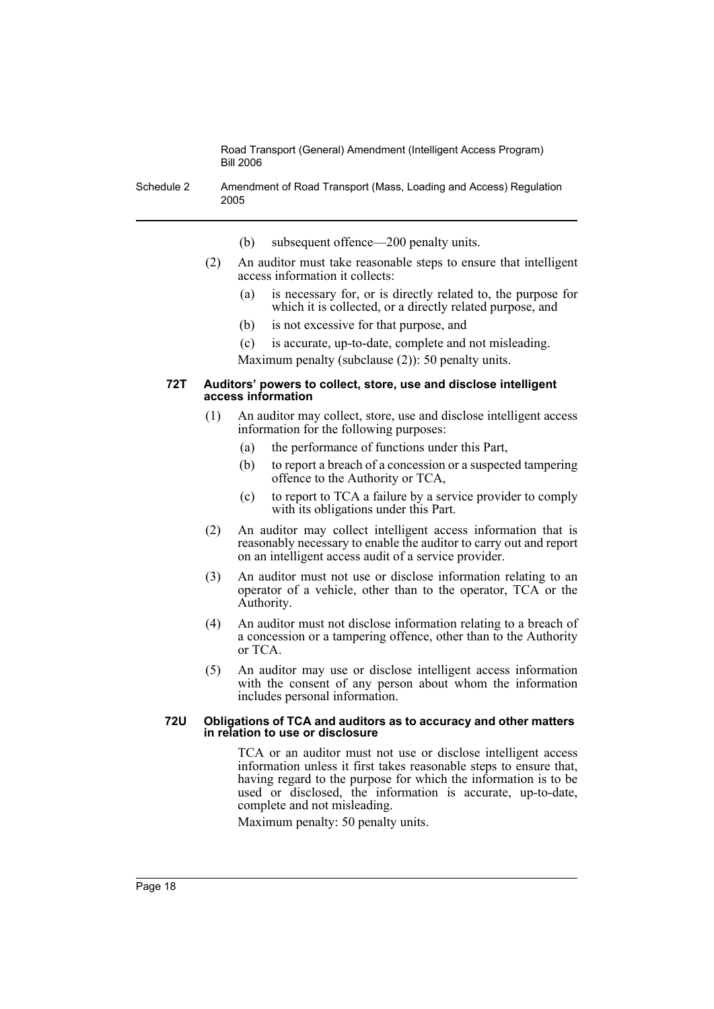Schedule 2 Amendment of Road Transport (Mass, Loading and Access) Regulation 2005

- (b) subsequent offence—200 penalty units.
- (2) An auditor must take reasonable steps to ensure that intelligent access information it collects:
	- (a) is necessary for, or is directly related to, the purpose for which it is collected, or a directly related purpose, and
	- (b) is not excessive for that purpose, and
	- (c) is accurate, up-to-date, complete and not misleading. Maximum penalty (subclause (2)): 50 penalty units.

#### **72T Auditors' powers to collect, store, use and disclose intelligent access information**

- (1) An auditor may collect, store, use and disclose intelligent access information for the following purposes:
	- (a) the performance of functions under this Part,
	- (b) to report a breach of a concession or a suspected tampering offence to the Authority or TCA,
	- (c) to report to TCA a failure by a service provider to comply with its obligations under this Part.
- (2) An auditor may collect intelligent access information that is reasonably necessary to enable the auditor to carry out and report on an intelligent access audit of a service provider.
- (3) An auditor must not use or disclose information relating to an operator of a vehicle, other than to the operator, TCA or the Authority.
- (4) An auditor must not disclose information relating to a breach of a concession or a tampering offence, other than to the Authority or TCA.
- (5) An auditor may use or disclose intelligent access information with the consent of any person about whom the information includes personal information.

#### **72U Obligations of TCA and auditors as to accuracy and other matters in relation to use or disclosure**

TCA or an auditor must not use or disclose intelligent access information unless it first takes reasonable steps to ensure that, having regard to the purpose for which the information is to be used or disclosed, the information is accurate, up-to-date, complete and not misleading.

Maximum penalty: 50 penalty units.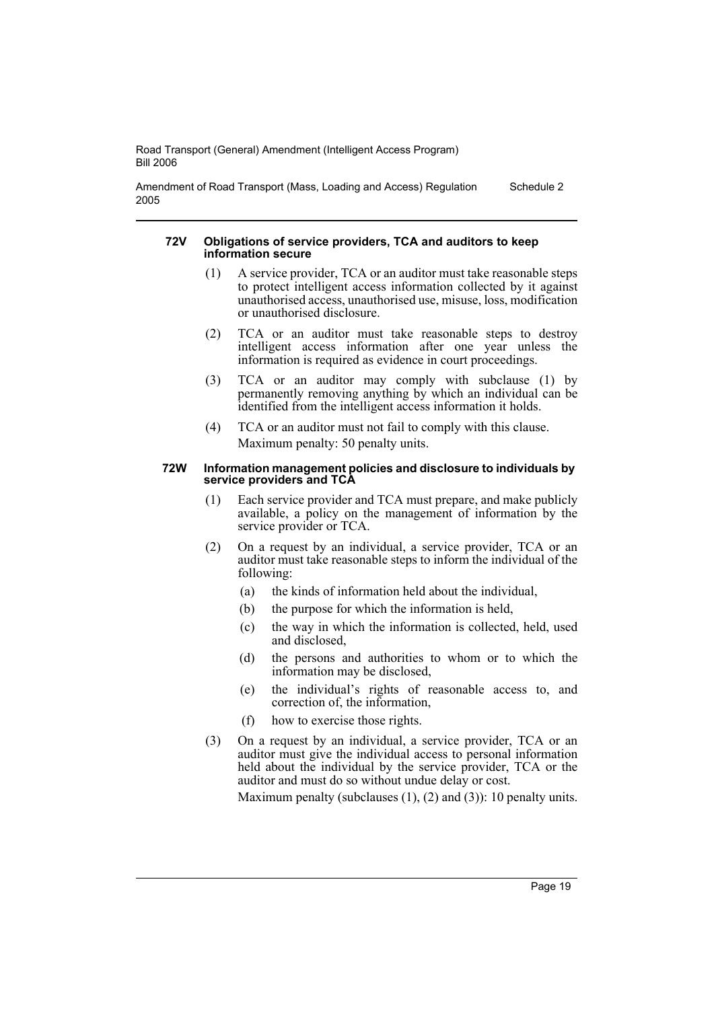Amendment of Road Transport (Mass, Loading and Access) Regulation 2005 Schedule 2

#### **72V Obligations of service providers, TCA and auditors to keep information secure**

- (1) A service provider, TCA or an auditor must take reasonable steps to protect intelligent access information collected by it against unauthorised access, unauthorised use, misuse, loss, modification or unauthorised disclosure.
- (2) TCA or an auditor must take reasonable steps to destroy intelligent access information after one year unless the information is required as evidence in court proceedings.
- (3) TCA or an auditor may comply with subclause (1) by permanently removing anything by which an individual can be identified from the intelligent access information it holds.
- (4) TCA or an auditor must not fail to comply with this clause. Maximum penalty: 50 penalty units.

#### **72W Information management policies and disclosure to individuals by service providers and TCA**

- (1) Each service provider and TCA must prepare, and make publicly available, a policy on the management of information by the service provider or TCA.
- (2) On a request by an individual, a service provider, TCA or an auditor must take reasonable steps to inform the individual of the following:
	- (a) the kinds of information held about the individual,
	- (b) the purpose for which the information is held,
	- (c) the way in which the information is collected, held, used and disclosed,
	- (d) the persons and authorities to whom or to which the information may be disclosed,
	- (e) the individual's rights of reasonable access to, and correction of, the information,
	- (f) how to exercise those rights.
- (3) On a request by an individual, a service provider, TCA or an auditor must give the individual access to personal information held about the individual by the service provider, TCA or the auditor and must do so without undue delay or cost.

Maximum penalty (subclauses (1), (2) and (3)): 10 penalty units.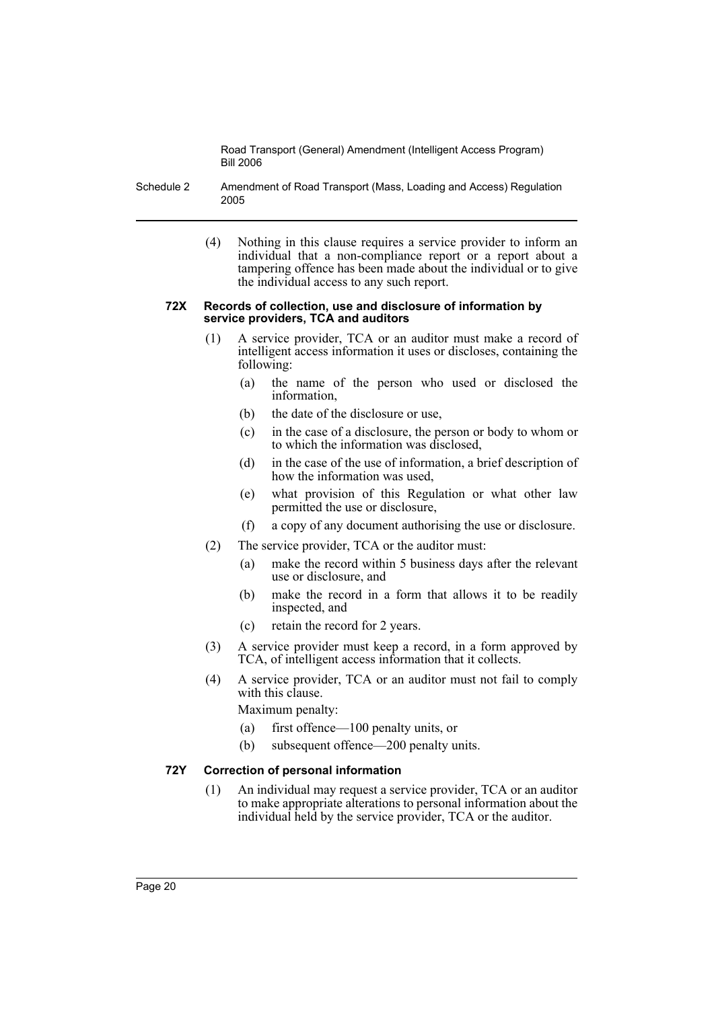- Schedule 2 Amendment of Road Transport (Mass, Loading and Access) Regulation 2005
	- (4) Nothing in this clause requires a service provider to inform an individual that a non-compliance report or a report about a tampering offence has been made about the individual or to give the individual access to any such report.

#### **72X Records of collection, use and disclosure of information by service providers, TCA and auditors**

- (1) A service provider, TCA or an auditor must make a record of intelligent access information it uses or discloses, containing the following:
	- (a) the name of the person who used or disclosed the information,
	- (b) the date of the disclosure or use,
	- (c) in the case of a disclosure, the person or body to whom or to which the information was disclosed,
	- (d) in the case of the use of information, a brief description of how the information was used,
	- (e) what provision of this Regulation or what other law permitted the use or disclosure,
	- (f) a copy of any document authorising the use or disclosure.
- (2) The service provider, TCA or the auditor must:
	- (a) make the record within 5 business days after the relevant use or disclosure, and
	- (b) make the record in a form that allows it to be readily inspected, and
	- (c) retain the record for 2 years.
- (3) A service provider must keep a record, in a form approved by TCA, of intelligent access information that it collects.
- (4) A service provider, TCA or an auditor must not fail to comply with this clause.

Maximum penalty:

- (a) first offence—100 penalty units, or
- (b) subsequent offence—200 penalty units.

#### **72Y Correction of personal information**

(1) An individual may request a service provider, TCA or an auditor to make appropriate alterations to personal information about the individual held by the service provider, TCA or the auditor.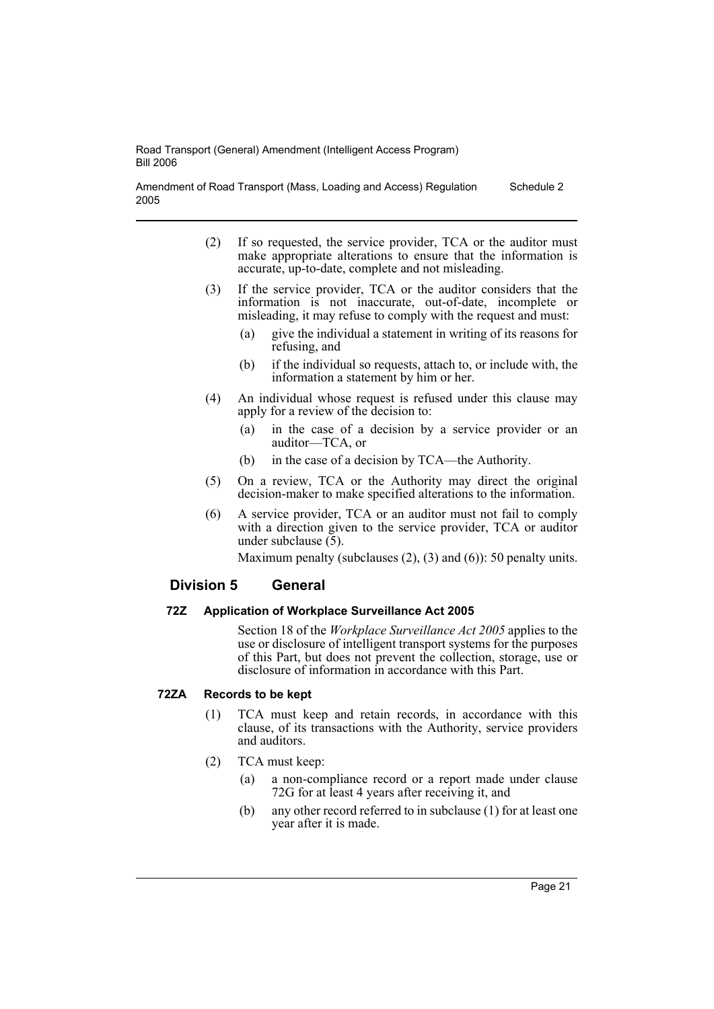Amendment of Road Transport (Mass, Loading and Access) Regulation 2005 Schedule 2

- (2) If so requested, the service provider, TCA or the auditor must make appropriate alterations to ensure that the information is accurate, up-to-date, complete and not misleading.
- (3) If the service provider, TCA or the auditor considers that the information is not inaccurate, out-of-date, incomplete or misleading, it may refuse to comply with the request and must:
	- (a) give the individual a statement in writing of its reasons for refusing, and
	- (b) if the individual so requests, attach to, or include with, the information a statement by him or her.
- (4) An individual whose request is refused under this clause may apply for a review of the decision to:
	- (a) in the case of a decision by a service provider or an auditor—TCA, or
	- (b) in the case of a decision by TCA—the Authority.
- (5) On a review, TCA or the Authority may direct the original decision-maker to make specified alterations to the information.
- (6) A service provider, TCA or an auditor must not fail to comply with a direction given to the service provider, TCA or auditor under subclause (5).

Maximum penalty (subclauses  $(2)$ ,  $(3)$  and  $(6)$ ): 50 penalty units.

# **Division 5 General**

# **72Z Application of Workplace Surveillance Act 2005**

Section 18 of the *Workplace Surveillance Act 2005* applies to the use or disclosure of intelligent transport systems for the purposes of this Part, but does not prevent the collection, storage, use or disclosure of information in accordance with this Part.

# **72ZA Records to be kept**

- (1) TCA must keep and retain records, in accordance with this clause, of its transactions with the Authority, service providers and auditors.
- (2) TCA must keep:
	- (a) a non-compliance record or a report made under clause 72G for at least 4 years after receiving it, and
	- (b) any other record referred to in subclause (1) for at least one year after it is made.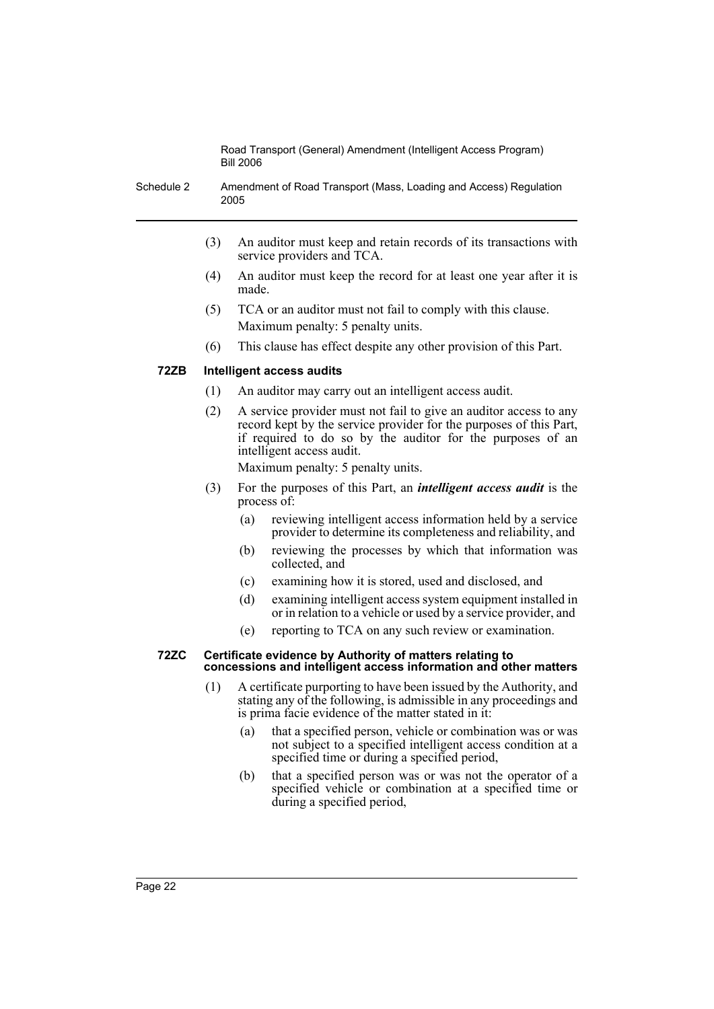Schedule 2 Amendment of Road Transport (Mass, Loading and Access) Regulation 2005

- (3) An auditor must keep and retain records of its transactions with service providers and TCA.
- (4) An auditor must keep the record for at least one year after it is made.
- (5) TCA or an auditor must not fail to comply with this clause. Maximum penalty: 5 penalty units.
- (6) This clause has effect despite any other provision of this Part.

# **72ZB Intelligent access audits**

- (1) An auditor may carry out an intelligent access audit.
- (2) A service provider must not fail to give an auditor access to any record kept by the service provider for the purposes of this Part, if required to do so by the auditor for the purposes of an intelligent access audit.

Maximum penalty: 5 penalty units.

- (3) For the purposes of this Part, an *intelligent access audit* is the process of:
	- (a) reviewing intelligent access information held by a service provider to determine its completeness and reliability, and
	- (b) reviewing the processes by which that information was collected, and
	- (c) examining how it is stored, used and disclosed, and
	- (d) examining intelligent access system equipment installed in or in relation to a vehicle or used by a service provider, and
	- (e) reporting to TCA on any such review or examination.

#### **72ZC Certificate evidence by Authority of matters relating to concessions and intelligent access information and other matters**

- (1) A certificate purporting to have been issued by the Authority, and stating any of the following, is admissible in any proceedings and is prima facie evidence of the matter stated in it:
	- (a) that a specified person, vehicle or combination was or was not subject to a specified intelligent access condition at a specified time or during a specified period,
	- (b) that a specified person was or was not the operator of a specified vehicle or combination at a specified time or during a specified period,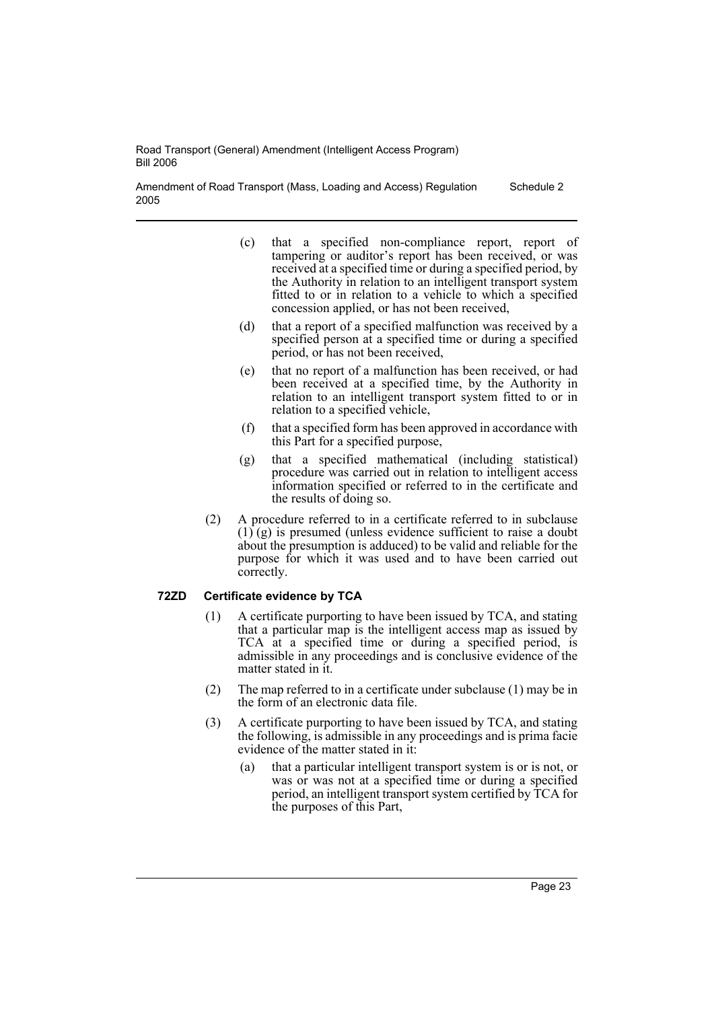Amendment of Road Transport (Mass, Loading and Access) Regulation 2005 Schedule 2

- (c) that a specified non-compliance report, report of tampering or auditor's report has been received, or was received at a specified time or during a specified period, by the Authority in relation to an intelligent transport system fitted to or in relation to a vehicle to which a specified concession applied, or has not been received,
- (d) that a report of a specified malfunction was received by a specified person at a specified time or during a specified period, or has not been received,
- (e) that no report of a malfunction has been received, or had been received at a specified time, by the Authority in relation to an intelligent transport system fitted to or in relation to a specified vehicle,
- (f) that a specified form has been approved in accordance with this Part for a specified purpose,
- (g) that a specified mathematical (including statistical) procedure was carried out in relation to intelligent access information specified or referred to in the certificate and the results of doing so.
- (2) A procedure referred to in a certificate referred to in subclause  $(1)$  (g) is presumed (unless evidence sufficient to raise a doubt about the presumption is adduced) to be valid and reliable for the purpose for which it was used and to have been carried out correctly.

# **72ZD Certificate evidence by TCA**

- (1) A certificate purporting to have been issued by TCA, and stating that a particular map is the intelligent access map as issued by TCA at a specified time or during a specified period, is admissible in any proceedings and is conclusive evidence of the matter stated in it.
- (2) The map referred to in a certificate under subclause (1) may be in the form of an electronic data file.
- (3) A certificate purporting to have been issued by TCA, and stating the following, is admissible in any proceedings and is prima facie evidence of the matter stated in it:
	- (a) that a particular intelligent transport system is or is not, or was or was not at a specified time or during a specified period, an intelligent transport system certified by TCA for the purposes of this Part,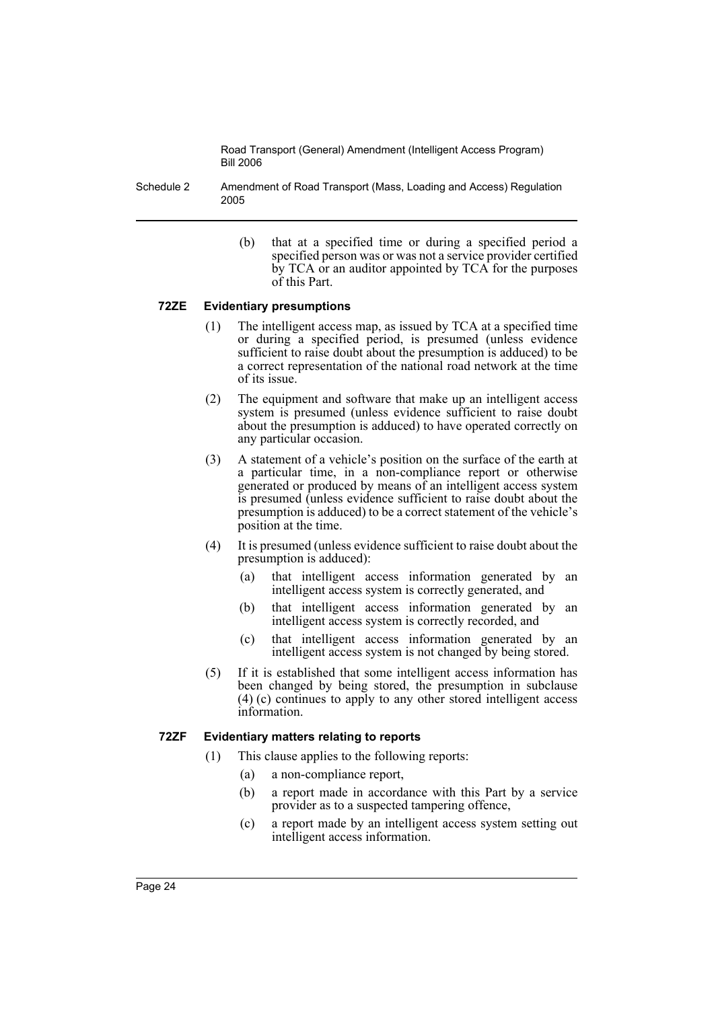Schedule 2 Amendment of Road Transport (Mass, Loading and Access) Regulation 2005

> (b) that at a specified time or during a specified period a specified person was or was not a service provider certified by TCA or an auditor appointed by TCA for the purposes of this Part.

#### **72ZE Evidentiary presumptions**

- (1) The intelligent access map, as issued by TCA at a specified time or during a specified period, is presumed (unless evidence sufficient to raise doubt about the presumption is adduced) to be a correct representation of the national road network at the time of its issue.
- (2) The equipment and software that make up an intelligent access system is presumed (unless evidence sufficient to raise doubt about the presumption is adduced) to have operated correctly on any particular occasion.
- (3) A statement of a vehicle's position on the surface of the earth at a particular time, in a non-compliance report or otherwise generated or produced by means of an intelligent access system is presumed (unless evidence sufficient to raise doubt about the presumption is adduced) to be a correct statement of the vehicle's position at the time.
- (4) It is presumed (unless evidence sufficient to raise doubt about the presumption is adduced):
	- (a) that intelligent access information generated by an intelligent access system is correctly generated, and
	- (b) that intelligent access information generated by an intelligent access system is correctly recorded, and
	- (c) that intelligent access information generated by an intelligent access system is not changed by being stored.
- (5) If it is established that some intelligent access information has been changed by being stored, the presumption in subclause (4) (c) continues to apply to any other stored intelligent access information.

#### **72ZF Evidentiary matters relating to reports**

- (1) This clause applies to the following reports:
	- (a) a non-compliance report,
	- (b) a report made in accordance with this Part by a service provider as to a suspected tampering offence,
	- (c) a report made by an intelligent access system setting out intelligent access information.